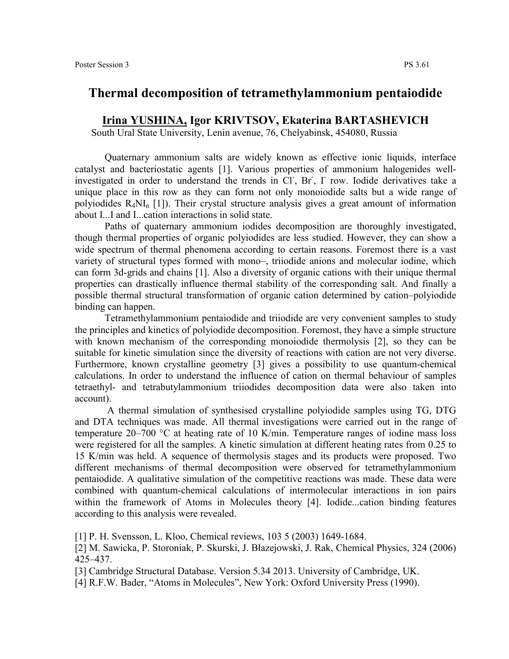## **Thermal decomposition of tetramethylammonium pentaiodide**

## **Irina YUSHINA, Igor KRIVTSOV, Ekaterina BARTASHEVICH**

South Ural State University, Lenin avenue, 76, Chelyabinsk, 454080, Russia

Quaternary ammonium salts are widely known as effective ionic liquids, interface catalyst and bacteriostatic agents [1]. Various properties of ammonium halogenides wellinvestigated in order to understand the trends in Cl, Br, I row. Iodide derivatives take a unique place in this row as they can form not only monoiodide salts but a wide range of polyiodides  $R_4NI_n$  [1]). Their crystal structure analysis gives a great amount of information about I...I and I...cation interactions in solid state.

Paths of quaternary ammonium iodides decomposition are thoroughly investigated, though thermal properties of organic polyiodides are less studied. However, they can show a wide spectrum of thermal phenomena according to certain reasons. Foremost there is a vast variety of structural types formed with mono–, triiodide anions and molecular iodine, which can form 3d-grids and chains [1]. Also a diversity of organic cations with their unique thermal properties can drastically influence thermal stability of the corresponding salt. And finally a possible thermal structural transformation of organic cation determined by cation–polyiodide binding can happen.

Tetramethylammonium pentaiodide and triiodide are very convenient samples to study the principles and kinetics of polyiodide decomposition. Foremost, they have a simple structure with known mechanism of the corresponding monoiodide thermolysis [2], so they can be suitable for kinetic simulation since the diversity of reactions with cation are not very diverse. Furthermore, known crystalline geometry [3] gives a possibility to use quantum-chemical calculations. In order to understand the influence of cation on thermal behaviour of samples tetraethyl- and tetrabutylammonium triiodides decomposition data were also taken into account).

A thermal simulation of synthesised crystalline polyiodide samples using TG, DTG and DTA techniques was made. All thermal investigations were carried out in the range of temperature 20–700 °C at heating rate of 10 K/min. Temperature ranges of iodine mass loss were registered for all the samples. A kinetic simulation at different heating rates from 0.25 to 15 K/min was held. A sequence of thermolysis stages and its products were proposed. Two different mechanisms of thermal decomposition were observed for tetramethylammonium pentaiodide. A qualitative simulation of the competitive reactions was made. These data were combined with quantum-chemical calculations of intermolecular interactions in ion pairs within the framework of Atoms in Molecules theory [4]. Iodide...cation binding features according to this analysis were revealed.

<sup>[1]</sup> P. H. Svensson, L. Kloo, Chemical reviews, 103 5 (2003) 1649-1684.

<sup>[2]</sup> M. Sawicka, P. Storoniak, P. Skurski, J. Błazejowski, J. Rak, Chemical Physics, 324 (2006) 425–437.

<sup>[3]</sup> Cambridge Structural Database. Version 5.34 2013. University of Cambridge, UK.

<sup>[4]</sup> R.F.W. Bader, "Atoms in Molecules", New York: Oxford University Press (1990).